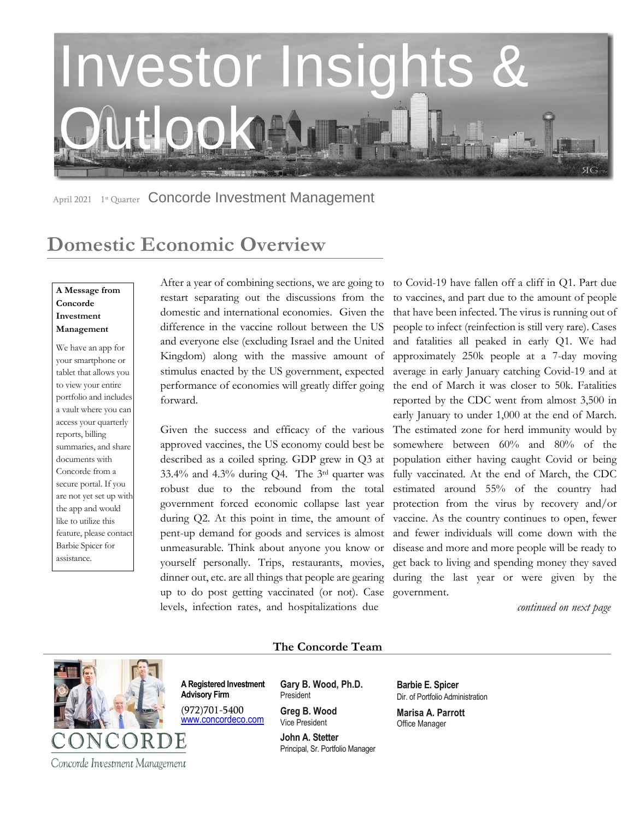

April 2021 1st Quarter Concorde Investment Management

## **Domestic Economic Overview**

### **A Message from Concorde Investment Management**

We have an app for your smartphone or tablet that allows you to view your entire portfolio and includes a vault where you can access your quarterly reports, billing summaries, and share documents with Concorde from a secure portal. If you are not yet set up with the app and would like to utilize this feature, please contact Barbie Spicer for assistance.

After a year of combining sections, we are going to restart separating out the discussions from the domestic and international economies. Given the difference in the vaccine rollout between the US and everyone else (excluding Israel and the United Kingdom) along with the massive amount of stimulus enacted by the US government, expected performance of economies will greatly differ going forward.

Given the success and efficacy of the various approved vaccines, the US economy could best be described as a coiled spring. GDP grew in Q3 at 33.4% and 4.3% during Q4. The 3rd quarter was robust due to the rebound from the total government forced economic collapse last year during Q2. At this point in time, the amount of pent-up demand for goods and services is almost unmeasurable. Think about anyone you know or yourself personally. Trips, restaurants, movies, dinner out, etc. are all things that people are gearing up to do post getting vaccinated (or not). Case levels, infection rates, and hospitalizations due

to Covid-19 have fallen off a cliff in Q1. Part due to vaccines, and part due to the amount of people that have been infected. The virus is running out of people to infect (reinfection is still very rare). Cases and fatalities all peaked in early Q1. We had approximately 250k people at a 7-day moving average in early January catching Covid-19 and at the end of March it was closer to 50k. Fatalities reported by the CDC went from almost 3,500 in early January to under 1,000 at the end of March. The estimated zone for herd immunity would by somewhere between 60% and 80% of the population either having caught Covid or being fully vaccinated. At the end of March, the CDC estimated around 55% of the country had protection from the virus by recovery and/or vaccine. As the country continues to open, fewer and fewer individuals will come down with the disease and more and more people will be ready to get back to living and spending money they saved during the last year or were given by the government.

*continued on next page* 



**The Concorde Team** 

**A Registered Investment Advisory Firm Gary B. Wood, Ph.D.**

(972)701-5400 [www.concordeco.com](http://www.concordeco.com/)

President **Greg B. Wood**

Vice President **John A. Stetter**  Principal, Sr. Portfolio Manager **Barbie E. Spicer**  Dir. of Portfolio Administration

**Marisa A. Parrott** Office Manager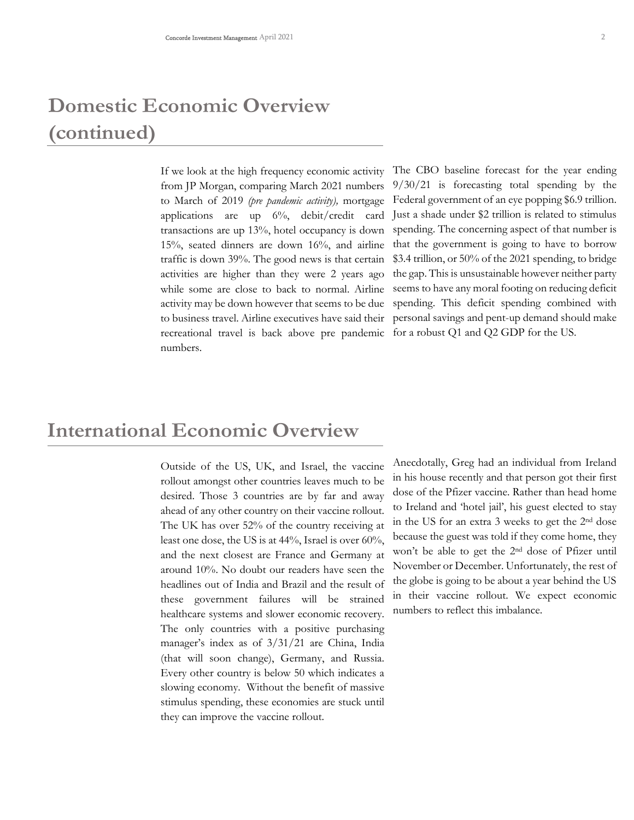# **Domestic Economic Overview (continued)**

If we look at the high frequency economic activity from JP Morgan, comparing March 2021 numbers to March of 2019 *(pre pandemic activity),* mortgage applications are up 6%, debit/credit card transactions are up 13%, hotel occupancy is down 15%, seated dinners are down 16%, and airline traffic is down 39%. The good news is that certain activities are higher than they were 2 years ago while some are close to back to normal. Airline activity may be down however that seems to be due to business travel. Airline executives have said their recreational travel is back above pre pandemic numbers.

The CBO baseline forecast for the year ending 9/30/21 is forecasting total spending by the Federal government of an eye popping \$6.9 trillion. Just a shade under \$2 trillion is related to stimulus spending. The concerning aspect of that number is that the government is going to have to borrow \$3.4 trillion, or 50% of the 2021 spending, to bridge the gap. This is unsustainable however neither party seems to have any moral footing on reducing deficit spending. This deficit spending combined with personal savings and pent-up demand should make for a robust Q1 and Q2 GDP for the US.

### **International Economic Overview**

Outside of the US, UK, and Israel, the vaccine rollout amongst other countries leaves much to be desired. Those 3 countries are by far and away ahead of any other country on their vaccine rollout. The UK has over 52% of the country receiving at least one dose, the US is at 44%, Israel is over 60%, and the next closest are France and Germany at around 10%. No doubt our readers have seen the headlines out of India and Brazil and the result of these government failures will be strained healthcare systems and slower economic recovery. The only countries with a positive purchasing manager's index as of 3/31/21 are China, India (that will soon change), Germany, and Russia. Every other country is below 50 which indicates a slowing economy. Without the benefit of massive stimulus spending, these economies are stuck until they can improve the vaccine rollout.

Anecdotally, Greg had an individual from Ireland in his house recently and that person got their first dose of the Pfizer vaccine. Rather than head home to Ireland and 'hotel jail', his guest elected to stay in the US for an extra 3 weeks to get the 2nd dose because the guest was told if they come home, they won't be able to get the 2nd dose of Pfizer until November or December. Unfortunately, the rest of the globe is going to be about a year behind the US in their vaccine rollout. We expect economic numbers to reflect this imbalance.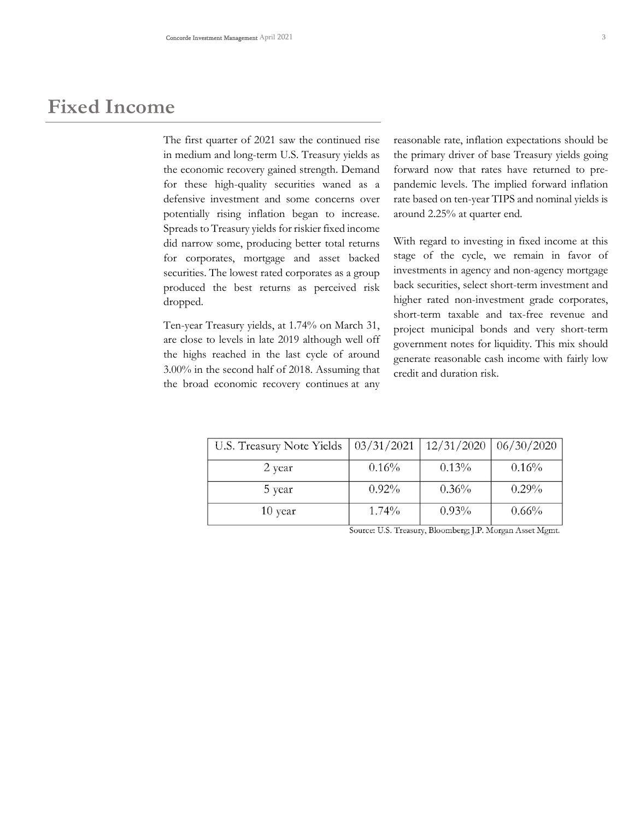### **Fixed Income**

The first quarter of 2021 saw the continued rise in medium and long-term U.S. Treasury yields as the economic recovery gained strength. Demand for these high-quality securities waned as a defensive investment and some concerns over potentially rising inflation began to increase. Spreads to Treasury yields for riskier fixed income did narrow some, producing better total returns for corporates, mortgage and asset backed securities. The lowest rated corporates as a group produced the best returns as perceived risk dropped.

Ten-year Treasury yields, at 1.74% on March 31, are close to levels in late 2019 although well off the highs reached in the last cycle of around 3.00% in the second half of 2018. Assuming that the broad economic recovery continues at any reasonable rate, inflation expectations should be the primary driver of base Treasury yields going forward now that rates have returned to prepandemic levels. The implied forward inflation rate based on ten-year TIPS and nominal yields is around 2.25% at quarter end.

With regard to investing in fixed income at this stage of the cycle, we remain in favor of investments in agency and non-agency mortgage back securities, select short-term investment and higher rated non-investment grade corporates, short-term taxable and tax-free revenue and project municipal bonds and very short-term government notes for liquidity. This mix should generate reasonable cash income with fairly low credit and duration risk.

| U.S. Treasury Note Yields | 03/31/2021 | 12/31/2020 | 06/30/2020 |
|---------------------------|------------|------------|------------|
| 2 year                    | 0.16%      | 0.13%      | 0.16%      |
| 5 year                    | 0.92%      | 0.36%      | $0.29\%$   |
| $10$ year                 | $1.74\%$   | $0.93\%$   | 0.66%      |

Source: U.S. Treasury, Bloomberg; J.P. Morgan Asset Mgmt.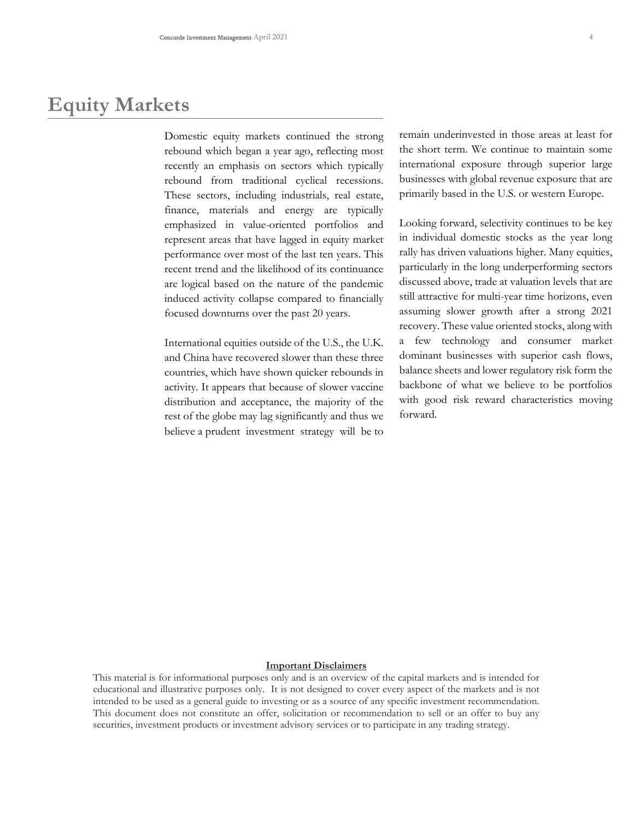## **Equity Markets**

Domestic equity markets continued the strong rebound which began a year ago, reflecting most recently an emphasis on sectors which typically rebound from traditional cyclical recessions. These sectors, including industrials, real estate, finance, materials and energy are typically emphasized in value-oriented portfolios and represent areas that have lagged in equity market performance over most of the last ten years. This recent trend and the likelihood of its continuance are logical based on the nature of the pandemic induced activity collapse compared to financially focused downturns over the past 20 years.

International equities outside of the U.S., the U.K. and China have recovered slower than these three countries, which have shown quicker rebounds in activity. It appears that because of slower vaccine distribution and acceptance, the majority of the rest of the globe may lag significantly and thus we believe a prudent investment strategy will be to remain underinvested in those areas at least for the short term. We continue to maintain some international exposure through superior large businesses with global revenue exposure that are primarily based in the U.S. or western Europe.

Looking forward, selectivity continues to be key in individual domestic stocks as the year long rally has driven valuations higher. Many equities, particularly in the long underperforming sectors discussed above, trade at valuation levels that are still attractive for multi-year time horizons, even assuming slower growth after a strong 2021 recovery. These value oriented stocks, along with a few technology and consumer market dominant businesses with superior cash flows, balance sheets and lower regulatory risk form the backbone of what we believe to be portfolios with good risk reward characteristics moving forward.

#### **Important Disclaimers**

This material is for informational purposes only and is an overview of the capital markets and is intended for educational and illustrative purposes only. It is not designed to cover every aspect of the markets and is not intended to be used as a general guide to investing or as a source of any specific investment recommendation. This document does not constitute an offer, solicitation or recommendation to sell or an offer to buy any securities, investment products or investment advisory services or to participate in any trading strategy.